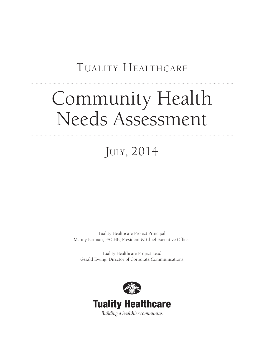## Tuality Healthcare

# Community Health Needs Assessment

## July, 2014

Tuality Healthcare Project Principal Manny Berman, FACHE, President & Chief Executive Officer

Tuality Healthcare Project Lead Gerald Ewing, Director of Corporate Communications

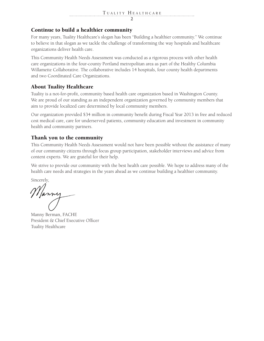### Continue to build a healthier community

For many years, Tuality Healthcare's slogan has been "Building a healthier community." We continue to believe in that slogan as we tackle the challenge of transforming the way hospitals and healthcare organizations deliver health care.

This Community Health Needs Assessment was conducted as a rigorous process with other health care organizations in the four-county Portland metropolitan area as part of the Healthy Columbia Willamette Collaborative. The collaborative includes 14 hospitals, four county health departments and two Coordinated Care Organizations.

### About Tuality Healthcare

Tuality is a not-for-profit, community based health care organization based in Washington County. We are proud of our standing as an independent organization governed by community members that aim to provide localized care determined by local community members.

Our organization provided \$34 million in community benefit during Fiscal Year 2013 in free and reduced cost medical care, care for underserved patients, community education and investment in community health and community partners.

### Thank you to the community

This Community Health Needs Assessment would not have been possible without the assistance of many of our community citizens through focus group participation, stakeholder interviews and advice from content experts. We are grateful for their help.

We strive to provide our community with the best health care possible. We hope to address many of the health care needs and strategies in the years ahead as we continue building a healthier community.

Sincerely,

Manny

Manny Berman, FACHE President & Chief Executive Officer Tuality Healthcare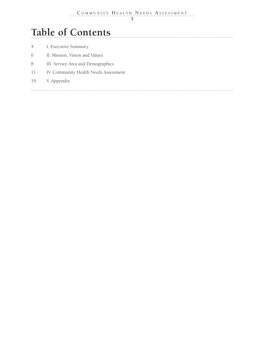## **Table of Contents**

| 4 <sup>1</sup> | I. Executive Summary                  |
|----------------|---------------------------------------|
| 6              | II. Mission, Vision and Values        |
| 8              | III. Service Area and Demographics    |
| 11             | IV. Community Health Needs Assessment |
| 19             | V. Appendix                           |
|                |                                       |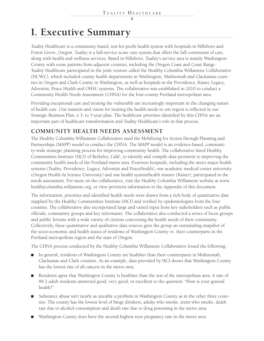## **I. Executive Summary**

Tuality Healthcare is a community-based, not-for-profit health system with hospitals in Hillsboro and Forest Grove, Oregon. Tuality is a full-service acute care system that offers the full continuum of care, along with health and wellness services. Based in Hillsboro, Tuality's service area is mainly Washington County with some patients from adjacent counties, including the Oregon Coast and Coast Range. Tuality Healthcare participated in the joint venture called the Healthy Columbia Willamette Collaborative (HCWC), which included county health departments in Washington, Multnomah and Clackamas counties in Oregon and Clark County in Washington, as well as hospitals in the Providence, Kaiser, Legacy, Adventist, Peace Health and OHSU systems. The collaborative was established in 2010 to conduct a Community Health Needs Assessment (CHNA) for the four-county Portland metropolitan area.

Providing exceptional care and treating the vulnerable are increasingly important in the changing nature of health care. Our mission and vision for treating the health needs in our region is reflected in our Strategic Business Plan, a 3- to 5-year plan. The healthcare priorities identified by this CHNA are an important part of healthcare transformation and Tuality Healthcare's role in that process.

### **COMMUNITY HEALTH NEEDS ASSESSMENT**

The Healthy Columbia Willamette Collaborative used the Mobilizing for Action through Planning and Partnerships (MAPP) model to conduct the CHNA. The MAPP model is an evidence-based, community-wide strategic planning process for improving community health. The collaborative hired Healthy Communities Institute (HCI) of Berkeley, Calif., to identify and compile data pertinent to improving the community health needs of the Portland metro area. Fourteen hospitals, including the area's major health systems (Tuality, Providence, Legacy, Adventist and PeaceHealth), one academic medical center university (Oregon Health & Science University) and one health system/health insurer (Kaiser), participated in the needs assessment. For more on the collaborative, visit the Healthy Columbia Willamette website at www. healthycolumbia.willamette.org, or view pertinent information in the Appendix of this document.

The information, priorities and identified health needs were drawn from a rich body of quantitative date supplied by the Healthy Communities Institute (HCI) and verified by epidemiologists from the four counties. The collaborative also incorporated large and varied input from key stakeholders such as public officials, community groups and key informants. The collaborative also conducted a series of focus groups and public forums with a wide variety of citizens concerning the health needs of their community. Collectively, these quantitative and qualitative data sources gave the group an outstanding snapshot of the socio-economic and health status of residents of Washington County vs. their counterparts in the Portland metropolitan region and the state of Oregon.

The CHNA process conducted by the Healthy Columbia Willamette Collaborative found the following:

- In general, residents of Washington County are healthier than their counterparts in Multnomah, Clackamas and Clark counties. As an example, data provided by HCI shows that Washington County has the lowest rate of all cancers in the metro area.
- Residents agree that Washington County is healthier than the rest of the metropolitan area. A rate of 89.2 adult residents answered good, very good, or excellent to the question: "How is your general health?"
- Substance abuse isn't nearly as sizeable a problem in Washington County as in the other three counties. The county has the lowest level of binge drinkers, adults who smoke, teens who smoke, death rate due to alcohol consumption and death rate due to drug poisoning in the metro area.
- Washington County does have the second-highest teen pregnancy rate in the metro area.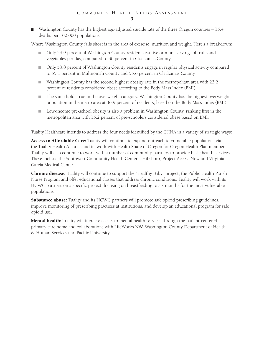■ Washington County has the highest age-adjusted suicide rate of the three Oregon counties – 15.4 deaths per 100,000 populations.

Where Washington County falls short is in the area of exercise, nutrition and weight. Here's a breakdown:

- Only 24.9 percent of Washington County residents eat five or more servings of fruits and vegetables per day, compared to 30 percent in Clackamas County.
- Only 53.8 percent of Washington County residents engage in regular physical activity compared to 55.1 percent in Multnomah County and 55.6 percent in Clackamas County.
- Washington County has the second highest obesity rate in the metropolitan area with 23.2 percent of residents considered obese according to the Body Mass Index (BMI).
- The same holds true in the overweight category. Washington County has the highest overweight population in the metro area at 36.9 percent of residents, based on the Body Mass Index (BMI).
- Low-income pre-school obesity is also a problem in Washington County, ranking first in the metropolitan area with 15.2 percent of pre-schoolers considered obese based on BMI.

Tuality Healthcare intends to address the four needs identified by the CHNA in a variety of strategic ways:

Access to Affordable Care: Tuality will continue to expand outreach to vulnerable populations via the Tuality Health Alliance and its work with Health Share of Oregon for Oregon Health Plan members. Tuality will also continue to work with a number of community partners to provide basic health services. These include the Southwest Community Health Center – Hillsboro, Project Access Now and Virginia Garcia Medical Center.

**Chronic disease:** Tuality will continue to support the "Healthy Baby" project, the Public Health Parish Nurse Program and offer educational classes that address chronic conditions. Tuality will work with its HCWC partners on a specific project, focusing on breastfeeding to six months for the most vulnerable populations.

**Substance abuse:** Tuality and its HCWC partners will promote safe opioid prescribing guidelines, improve monitoring of prescribing practices at institutions, and develop an educational program for safe opioid use.

Mental health: Tuality will increase access to mental health services through the patient-centered primary care home and collaborations with LifeWorks NW, Washington County Department of Health & Human Services and Pacific University.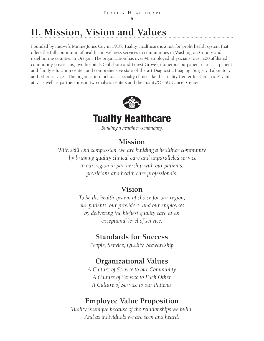## **II. Mission, Vision and Values**

Founded by midwife Minnie Jones Coy in 1918, Tuality Healthcare is a not-for-profit health system that offers the full continuum of health and wellness services in communities in Washington County and neighboring counties in Oregon. The organization has over 40 employed physicians, over 200 affiliated community physicians, two hospitals (Hillsboro and Forest Grove), numerous outpatient clinics, a patient and family education center, and comprehensive state-of-the-art Diagnostic Imaging, Surgery, Laboratory and other services. The organization includes specialty clinics like the Tuality Center for Geriatric Psychiatry, as well as partnerships in two dialysis centers and the Tuality/OHSU Cancer Center.



## **Tuality Healthcare**

Building a healthier community.

### **Mission**

*With skill and compassion, we are building a healthier community by bringing quality clinical care and unparalleled service to our region in partnership with our patients, physicians and health care professionals.*

### **Vision**

*To be the health system of choice for our region, our patients, our providers, and our employees by delivering the highest quality care at an exceptional level of service.*

### **Standards for Success**

*People, Service, Quality, Stewardship*

### **Organizational Values**

*A Culture of Service to our Community A Culture of Service to Each Other A Culture of Service to our Patients*

### **Employee Value Proposition**

*Tuality is unique because of the relationships we build, And as individuals we are seen and heard.*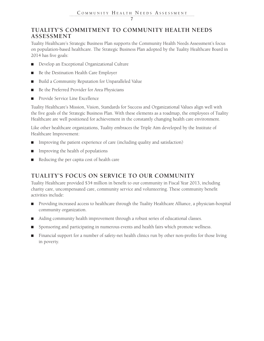### **TUALITY'S COMMITMENT TO COMMUNITY HEALTH NEEDS ASSESSMENT**

Tuality Healthcare's Strategic Business Plan supports the Community Health Needs Assessment's focus on population-based healthcare. The Strategic Business Plan adopted by the Tuality Healthcare Board in 2014 has five goals:

- Develop an Exceptional Organizational Culture
- Be the Destination Health Care Employer
- Build a Community Reputation for Unparalleled Value
- Be the Preferred Provider for Area Physicians
- Provide Service Line Excellence

Tuality Healthcare's Mission, Vision, Standards for Success and Organizational Values align well with the five goals of the Strategic Business Plan. With these elements as a roadmap, the employees of Tuality Healthcare are well positioned for achievement in the constantly changing health care environment.

Like other healthcare organizations, Tuality embraces the Triple Aim developed by the Institute of Healthcare Improvement:

- Improving the patient experience of care (including quality and satisfaction)
- Improving the health of populations
- Reducing the per capita cost of health care

### **TUALITY'S FOCUS ON SERVICE TO OUR COMMUNITY**

Tuality Healthcare provided \$34 million in benefit to our community in Fiscal Year 2013, including charity care, uncompensated care, community service and volunteering. These community benefit activities include:

- Providing increased access to healthcare through the Tuality Healthcare Alliance, a physician-hospital community organization.
- Aiding community health improvement through a robust series of educational classes.
- Sponsoring and participating in numerous events and health fairs which promote wellness.
- Financial support for a number of safety-net health clinics run by other non-profits for those living in poverty.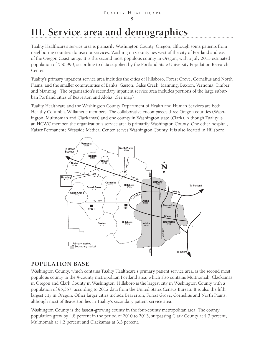## **III. Service area and demographics**

Tuality Healthcare's service area is primarily Washington County, Oregon, although some patients from neighboring counties do use our services. Washington County lies west of the city of Portland and east of the Oregon Coast range. It is the second most populous county in Oregon, with a July 2013 estimated population of 550,990, according to data supplied by the Portland State University Population Research Center.

Tuality's primary inpatient service area includes the cities of Hillsboro, Forest Grove, Cornelius and North Plains, and the smaller communities of Banks, Gaston, Gales Creek, Manning, Buxton, Vernonia, Timber and Manning. The organization's secondary inpatient service area includes portions of the large suburban Portland cities of Beaverton and Aloha. (See map)

Tuality Healthcare and the Washington County Department of Health and Human Services are both Healthy Columbia Willamette members. The collaborative encompasses three Oregon counties (Washington, Multnomah and Clackamas) and one county in Washington state (Clark). Although Tuality is an HCWC member, the organization's service area is primarily Washington County. One other hospital, Kaiser Permanente Westside Medical Center, serves Washington County. It is also located in Hillsboro.



### **POPULATION BASE**

Washington County, which contains Tuality Healthcare's primary patient service area, is the second most populous county in the 4-county metropolitan Portland area, which also contains Multnomah, Clackamas in Oregon and Clark County in Washington. Hillsboro is the largest city in Washington County with a population of 95,357, according to 2012 data from the United States Census Bureau. It is also the fifth largest city in Oregon. Other larger cities include Beaverton, Forest Grove, Cornelius and North Plains, although most of Beaverton lies in Tuality's secondary patient service area.

Washington County is the fastest-growing county in the four-county metropolitan area. The county population grew by 4.8 percent in the period of 2010 to 2013, surpassing Clark County at 4.3 percent, Multnomah at 4.2 percent and Clackamas at 3.3 percent.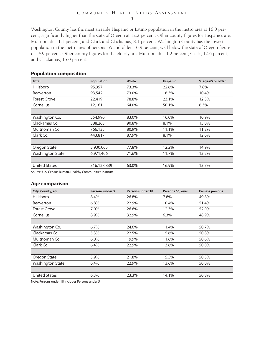Washington County has the most sizeable Hispanic or Latino population in the metro area at 16.0 percent, significantly higher than the state of Oregon at 12.2 percent. Other county figures for Hispanics are: Multnomah, 11.1 percent, and Clark and Clackamas, 8.1 percent. Washington County has the lowest population in the metro area of persons 65 and older, 10.9 percent, well below the state of Oregon figure of 14.9 percent. Other county figures for the elderly are: Multnomah, 11.2 percent; Clark, 12.6 percent, and Clackamas, 15.0 percent.

| <b>Total</b>                                                                                                                                                                                                                  | <b>Population</b> | <b>White</b> | <b>Hispanic</b> | % age 65 or older |
|-------------------------------------------------------------------------------------------------------------------------------------------------------------------------------------------------------------------------------|-------------------|--------------|-----------------|-------------------|
| Hillsboro                                                                                                                                                                                                                     | 95,357            | 73.3%        | 22.6%           | 7.8%              |
| <b>Beaverton</b>                                                                                                                                                                                                              | 93,542            | 73.0%        | 16.3%           | 10.4%             |
| <b>Forest Grove</b>                                                                                                                                                                                                           | 22,419            | 78.8%        | 23.1%           | 12.3%             |
| Cornelius                                                                                                                                                                                                                     | 12,161            | 64.0%        | 50.1%           | 6.3%              |
|                                                                                                                                                                                                                               |                   |              |                 |                   |
| Washington Co.                                                                                                                                                                                                                | 554,996           | 83.0%        | 16.0%           | 10.9%             |
| Clackamas Co.                                                                                                                                                                                                                 | 388,263           | 90.8%        | 8.1%            | 15.0%             |
| Multnomah Co.                                                                                                                                                                                                                 | 766,135           | 80.9%        | 11.1%           | 11.2%             |
| Clark Co.                                                                                                                                                                                                                     | 443,817           | 87.9%        | 8.1%            | 12.6%             |
|                                                                                                                                                                                                                               |                   |              |                 |                   |
| Oregon State                                                                                                                                                                                                                  | 3,930,065         | 77.8%        | 12.2%           | 14.9%             |
| <b>Washington State</b>                                                                                                                                                                                                       | 6,971,406         | 71.6%        | 11.7%           | 13.2%             |
|                                                                                                                                                                                                                               |                   |              |                 |                   |
| <b>United States</b>                                                                                                                                                                                                          | 316,128,839       | 63.0%        | 16.9%           | 13.7%             |
| $C_1$ . The $C_2$ is the $D_1$ in the state of the state of the state of the state of the state of the state of the state of the state of the state of the state of the state of the state of the state of the state of the s |                   |              |                 |                   |

### **Population composition**

Source: U.S. Census Bureau, Healthy Communities Institute

#### **Age comparison**

| <b>Female persons</b> |
|-----------------------|
| 49.8%                 |
| 51.4%                 |
| 52.0%                 |
| 48.9%                 |
|                       |
| 50.7%                 |
| 50.8%                 |
| 50.6%                 |
| 50.0%                 |
|                       |
| 50.5%                 |
| 50.0%                 |
|                       |
| 50.8%                 |
|                       |

Note: Persons under 18 includes Persons under 5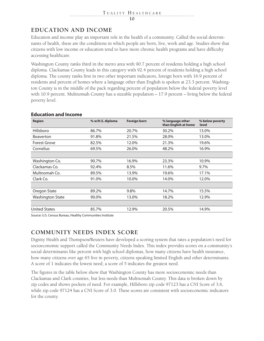### **EDUCATION AND INCOME**

Education and income play an important role in the health of a community. Called the social determinants of health, these are the conditions in which people are born, live, work and age. Studies show that citizens with low income or education tend to have more chronic health programs and have difficulty accessing healthcare.

Washington County ranks third in the metro area with 90.7 percent of residents holding a high school diploma. Clackamas County leads in this category with 92.4 percent of residents holding a high school diploma. The county ranks first in two other important indicators, foreign born with 16.9 percent of residents and percent of homes where a language other than English is spoken at 23.3 percent. Washington County is in the middle of the pack regarding percent of population below the federal poverty level with 10.9 percent. Multnomah County has a sizeable population – 17.9 percent – living below the federal poverty level.

| <b>Region</b>           | % w/H.S. diploma | <b>Foreign born</b> | % language other<br>than English at home | % below poverty<br>level |
|-------------------------|------------------|---------------------|------------------------------------------|--------------------------|
| Hillsboro               | 86.7%            | 20.7%               | 30.2%                                    | 13.0%                    |
| <b>Beaverton</b>        | 91.8%            | 21.5%               | 28.0%                                    | 13.0%                    |
| <b>Forest Grove</b>     | 82.5%            | 12.0%               | 21.3%                                    | 19.6%                    |
| Cornelius               | 69.5%            | 26.0%               | 48.2%                                    | 16.9%                    |
|                         |                  |                     |                                          |                          |
| Washington Co.          | 90.7%            | 16.9%               | 23.3%                                    | 10.9%                    |
| Clackamas Co.           | 92.4%            | 8.5%                | 11.6%                                    | 9.7%                     |
| Multnomah Co.           | 89.5%            | 13.9%               | 19.6%                                    | 17.1%                    |
| Clark Co.               | 91.0%            | 10.0%               | 14.0%                                    | 12.0%                    |
|                         |                  |                     |                                          |                          |
| Oregon State            | 89.2%            | 9.8%                | 14.7%                                    | 15.5%                    |
| <b>Washington State</b> | 90.0%            | 13.0%               | 18.2%                                    | 12.9%                    |
|                         |                  |                     |                                          |                          |
| <b>United States</b>    | 85.7%            | 12.9%               | 20.5%                                    | 14.9%                    |

### **Education and Income**

Source: U.S. Census Bureau, Healthy Communities Institute

### **COMMUNITY NEEDS INDEX SCORE**

Dignity Health and Thompson/Reuters have developed a scoring system that rates a population's need for socioeconomic support called the Community Needs Index. This index provides scores on a community's social determinants like percent with high school diplomas, how many citizens have health insurance, how many citizens over age 65 live in poverty, citizens speaking limited English and other determinants. A score of 1 indicates the lowest need; a score of 5 indicates the greatest need.

The figures in the table below show that Washington County has more socioeconomic needs than Clackamas and Clark counties, but less needs than Multnomah County. This data is broken down by zip codes and shows pockets of need. For example, Hillsboro zip code 97123 has a CNI Score of 3.6, while zip code 97124 has a CNI Score of 3.0. These scores are consistent with socioeconomic indicators for the county.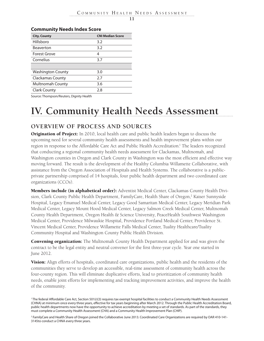### **Community Needs Index Score**

| <b>City, County</b>      | <b>CNI Median Score</b> |
|--------------------------|-------------------------|
| Hillsboro                | 3.2                     |
| <b>Beaverton</b>         | 3.2                     |
| <b>Forest Grove</b>      | 4                       |
| Cornelius                | 3.7                     |
|                          |                         |
| <b>Washington County</b> | 3.0                     |
| Clackamas County         | 2.7                     |
| <b>Multnomah County</b>  | 3.6                     |
| <b>Clark County</b>      | 2.8                     |

Source: Thompson/Reuters, Dignity Health

## **IV. Community Health Needs Assessment**

### **OVERVIEW OF PROCESS AND SOURCES**

**Origination of Project:** In 2010, local health care and public health leaders began to discuss the upcoming need for several community health assessments and health improvement plans within our region in response to the Affordable Care Act and Public Health Accreditation.<sup>1</sup> The leaders recognized that conducting a regional community health needs assessment for Clackamas, Multnomah, and Washington counties in Oregon and Clark County in Washington was the most efficient and effective way moving forward. The result is the development of the Healthy Columbia Willamette Collaborative, with assistance from the Oregon Association of Hospitals and Health Systems. The collaborative is a publicprivate partnership comprised of 14 hospitals, four public health department and two coordinated care organizations (CCOs).

Members include (in alphabetical order): Adventist Medical Center, Clackamas County Health Division, Clark County Public Health Department, FamilyCare, Health Share of Oregon,<sup>2</sup> Kaiser Sunnyside Hospital, Legacy Emanuel Medical Center, Legacy Good Samaritan Medical Center, Legacy Meridian Park Medical Center, Legacy Mount Hood Medical Center, Legacy Salmon Creek Medical Center, Multnomah County Health Department, Oregon Health & Science University, PeaceHealth Southwest Washington Medical Center, Providence Milwaukie Hospital, Providence Portland Medical Center, Providence St. Vincent Medical Center, Providence Willamette Falls Medical Center, Tuality Healthcare/Tuality Community Hospital and Washington County Public Health Division.

Convening organization: The Multnomah County Health Department applied for and was given the contract to be the legal entity and neutral convener for the first three-year cycle. Year one started in June 2012.

**Vision:** Align efforts of hospitals, coordinated care organizations, public health and the residents of the communities they serve to develop an accessible, real-time assessment of community health across the four-county region. This will eliminate duplicative efforts, lead to prioritization of community health needs, enable joint efforts for implementing and tracking improvement activities, and improve the health of the community.

<sup>1</sup> The federal Affordable Care Act, Section 501(r)(3) requires tax exempt hospital facilities to conduct a Community Health Needs Assessment (CHNA) at minimum once every three years, effective for tax years beginning after March 2012. Through the Public Health Accreditation Board, public health departments now have the opportunity to achieve accreditation by meeting a set of standards. As part of the standards, they must complete a Community Health Assessment (CHA) and a Community Health Improvement Plan (CHIP).

<sup>2</sup> FamilyCare and Health Share of Oregon joined the Collaborative June 2013. Coordinated Care Organizations are required by OAR 410-141- 3145to conduct a CHNA every three years.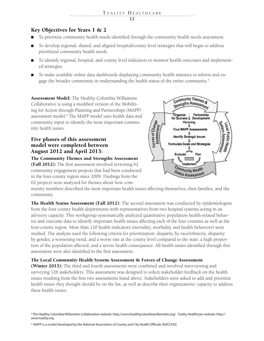### Key Objectives for Years 1 & 2

- To prioritize community health needs identified through the community health needs assessment.
- To develop regional, shared, and aligned hospital/county level strategies that will begin to address prioritized community health needs.
- To identify regional, hospital, and county level indicators to monitor health outcomes and implemented strategies.
- To make available online data dashboards displaying community health statistics to inform and engage the broader community in understanding the health status of the entire community.<sup>3</sup>

Assessment Model: The Healthy Columbia Willamette Collaborative is using a modified version of the Mobilizing for Action through Planning and Partnerships (MAPP) assessment model.4 The MAPP model uses health data and community input to identify the most important community health issues.

### Five phases of this assessment model were completed between August 2012 and April 2013:

### The Community Themes and Strengths Assessment

(Fall 2012): The first assessment involved reviewing 62 community engagement projects that had been conducted in the four-county region since 2009. Findings from the 62 projects were analyzed for themes about how com-



munity members described the most important health issues affecting themselves, their families, and the community.

The Health Status Assessment (Fall 2012): The second assessment was conducted by epidemiologists from the four county health departments with representatives from two hospital systems acting in an advisory capacity. This workgroup systematically analyzed quantitative population health-related behavior and outcome data to identify important health issues affecting each of the four counties as well as the four-county region. More than 120 health indicators (mortality, morbidity and health behaviors) were studied. The analysis used the following criteria for prioritization: disparity by race/ethnicity, disparity by gender, a worsening trend, and a worse rate at the county level compared to the state, a high proportion of the population affected, and a severe health consequence. All health issues identified through this assessment were also identified in the first assessment.

### The Local Community Health System Assessment & Forces of Change Assessment

(Winter 2013): The third and fourth assessments were combined and involved interviewing and surveying 126 stakeholders. This assessment was designed to solicit stakeholder feedback on the health issues resulting from the first two assessments listed above. Stakeholders were asked to add and prioritize health issues they thought should be on the list, as well as describe their organizations' capacity to address these health issues.

<sup>3</sup> The Healthy Columbia Willamette Collaborative website: http://www.healthycolumbiawillamette.org/. Tuality Healthcare website: http:// www.tuality.org.

<sup>4</sup> MAPP is a model developed by the National Association of County and City Health Officials (NACCHO)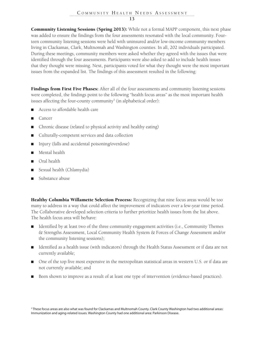Community Listening Sessions (Spring 2013): While not a formal MAPP component, this next phase was added to ensure the findings from the four assessments resonated with the local community. Fourteen community listening sessions were held with uninsured and/or low-income community members living in Clackamas, Clark, Multnomah and Washington counties. In all, 202 individuals participated. During these meetings, community members were asked whether they agreed with the issues that were identified through the four assessments. Participants were also asked to add to include health issues that they thought were missing. Next, participants voted for what they thought were the most important issues from the expanded list. The findings of this assessment resulted in the following:

Findings from First Five Phases: After all of the four assessments and community listening sessions were completed, the findings point to the following "health focus areas" as the most important health issues affecting the four-county community $^5$  (in alphabetical order):

- Access to affordable health care
- Cancer
- Chronic disease (related to physical activity and healthy eating)
- Culturally-competent services and data collection
- Injury (falls and accidental poisoning/overdose)
- Mental health
- Oral health
- Sexual health (Chlamydia)
- Substance abuse

Healthy Columbia Willamette Selection Process: Recognizing that nine focus areas would be too many to address in a way that could affect the improvement of indicators over a few-year time period. The Collaborative developed selection criteria to further prioritize health issues from the list above. The health focus area will be/have:

- Identified by at least two of the three community engagement activities (i.e., Community Themes & Strengths Assessment, Local Community Health System & Forces of Change Assessment and/or the community listening sessions);
- Identified as a health issue (with indicators) through the Health Status Assessment or if data are not currently available;
- One of the top five most expensive in the metropolitan statistical areas in western U.S. or if data are not currently available; and
- Been shown to improve as a result of at least one type of intervention (evidence-based practices).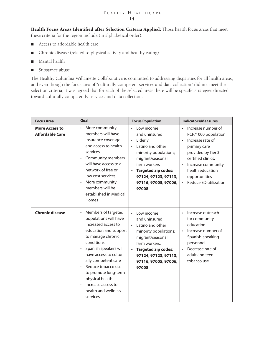#### TUALITY HEALTHCARE . . . . . . . . . . . . . . . . . . . . . . . . . . . . . . **14**

Health Focus Areas Identified after Selection Criteria Applied: Those health focus areas that meet these criteria for the region include (in alphabetical order):

- Access to affordable health care
- Chronic disease (related to physical activity and healthy eating)
- Mental health
- Substance abuse

The Healthy Columbia Willamette Collaborative is committed to addressing disparities for all health areas, and even though the focus area of "culturally-competent services and data collection" did not meet the selection criteria, it was agreed that for each of the selected areas there will be specific strategies directed toward culturally competently services and data collection.

| <b>Focus Area</b>                               | Goal                                                                                                                                                                                                                                                                                                                                                                       | <b>Focus Population</b>                                                                                                                                                                                                     | <b>Indicators/Measures</b>                                                                                                                                                                                                                           |
|-------------------------------------------------|----------------------------------------------------------------------------------------------------------------------------------------------------------------------------------------------------------------------------------------------------------------------------------------------------------------------------------------------------------------------------|-----------------------------------------------------------------------------------------------------------------------------------------------------------------------------------------------------------------------------|------------------------------------------------------------------------------------------------------------------------------------------------------------------------------------------------------------------------------------------------------|
| <b>More Access to</b><br><b>Affordable Care</b> | More community<br>$\bullet$<br>members will have<br>insurance coverage<br>and access to health<br>services<br>Community members<br>$\bullet$<br>will have access to a<br>network of free or<br>low cost services<br>More community<br>$\bullet$<br>members will be<br>established in Medical<br>Homes                                                                      | Low income<br>and uninsured<br>Elderly<br>$\bullet$<br>Latino and other<br>minority populations;<br>migrant/seasonal<br>farm workers<br><b>Targeted zip codes:</b><br>97124, 97123, 97113,<br>97116, 97005, 97006,<br>97008 | Increase number of<br>PCP/1000 population<br>Increase rate of<br>$\bullet$<br>primary care<br>provided by Tier 3<br>certified clinics.<br>Increase community<br>$\bullet$<br>health education<br>opportunities<br>Reduce ED utilization<br>$\bullet$ |
| <b>Chronic disease</b>                          | Members of targeted<br>$\bullet$<br>populations will have<br>increased access to<br>education and support<br>to manage chronic<br>conditions<br>Spanish speakers will<br>$\bullet$<br>have access to cultur-<br>ally competent care<br>Reduce tobacco use<br>to promote long-term<br>physical health<br>Increase access to<br>$\bullet$<br>health and wellness<br>services | Low income<br>and uninsured<br>Latino and other<br>minority populations;<br>migrant/seasonal<br>farm workers.<br><b>Targeted zip codes:</b><br>97124, 97123, 97113,<br>97116, 97005, 97006,<br>97008                        | Increase outreach<br>for community<br>education.<br>Increase number of<br>$\bullet$<br>Spanish-speaking<br>personnel.<br>Decrease rate of<br>$\bullet$<br>adult and teen<br>tobacco use                                                              |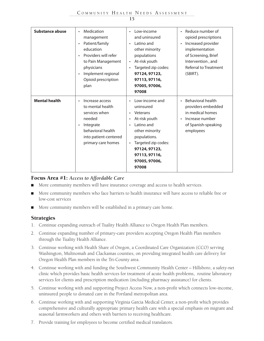| Substance abuse      | Medication<br>$\bullet$<br>management<br>Patient/family<br>education<br>Providers will refer<br>to Pain Management<br>physicians<br>Implement regional<br>$\bullet$<br>Opioid prescription<br>plan | Low-income<br>$\bullet$<br>and uninsured<br>Latino and<br>$\bullet$<br>other minority<br>populations<br>At-risk youth<br>$\bullet$<br>Targeted zip codes:<br>$\bullet$<br>97124, 97123,<br>97113, 97116,<br>97005, 97006,<br>97008                           | Reduce number of<br>$\bullet$<br>opioid prescriptions<br>Increased provider<br>implementation<br>of Screening, Brief<br>Intervention, and<br>Referral to Treatment<br>(SBIRT). |
|----------------------|----------------------------------------------------------------------------------------------------------------------------------------------------------------------------------------------------|--------------------------------------------------------------------------------------------------------------------------------------------------------------------------------------------------------------------------------------------------------------|--------------------------------------------------------------------------------------------------------------------------------------------------------------------------------|
| <b>Mental health</b> | Increase access<br>$\bullet$<br>to mental health<br>services when<br>needed<br>Integrate<br>$\bullet$<br>behavioral health<br>into patient-centered<br>primary care homes                          | Low-income and<br>$\bullet$<br>uninsured<br>Veterans<br>$\bullet$<br>At-risk youth<br>$\bullet$<br>Latino and<br>$\bullet$<br>other minority<br>populations.<br>Targeted zip codes:<br>$\bullet$<br>97124, 97123,<br>97113, 97116,<br>97005, 97006,<br>97008 | <b>Behavioral health</b><br>$\bullet$<br>providers embedded<br>in medical homes<br>Increase number<br>$\bullet$<br>of Spanish-speaking<br>employees                            |

### Focus Area #1: *Access to Affordable Care*

- More community members will have insurance coverage and access to health services.
- More community members who face barriers to health insurance will have access to reliable free or low-cost services
- More community members will be established in a primary care home.

### **Strategies**

- 1. Continue expanding outreach of Tuality Health Alliance to Oregon Health Plan members.
- 2. Continue expanding number of primary-care providers accepting Oregon Health Plan members through the Tuality Health Alliance.
- 3. Continue working with Health Share of Oregon, a Coordinated Care Organization (CCO) serving Washington, Multnomah and Clackamas counties, on providing integrated health care delivery for Oregon Health Plan members in the Tri-County area.
- 4. Continue working with and funding the Southwest Community Health Center Hillsboro, a safety-net clinic which provides basic health services for treatment of acute health problems, routine laboratory services for clients and prescription medication (including pharmacy assistance) for clients.
- 5. Continue working with and supporting Project Access Now, a non-profit which connects low-income, uninsured people to donated care in the Portland metropolitan area.
- 6. Continue working with and supporting Virginia Garcia Medical Center, a non-profit which provides comprehensive and culturally appropriate primary health care with a special emphasis on migrant and seasonal farmworkers and others with barriers to receiving healthcare.
- 7. Provide training for employees to become certified medical translators.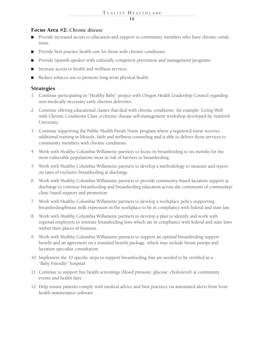### Focus Area #2: *Chronic disease*

- Provide increased access to education and support to community members who have chronic conditions.
- Provide best practice health care for those with chronic conditions.
- Provide Spanish speaker with culturally competent prevention and management programs.
- Increase access to health and wellness services.
- Reduce tobacco use to promote long-term physical health.

### **Strategies**

- 1. Continue participating in "Healthy Baby" project with Oregon Health Leadership Council regarding non-medically necessary early election deliveries.
- 2. Continue offering educational classes that deal with chronic conditions. An example: Living Well with Chronic Conditions Class, a chronic disease self-management workshop developed by Stanford University.
- 3. Continue supporting the Public Health Parish Nurse program where a registered nurse receives additional training in lifestyle, faith and wellness counseling and is able to deliver those services to community members with chronic conditions.
- 4. Work with Healthy Columbia Willamette partners to focus on breastfeeding to six months for the most vulnerable populations most at risk of barriers to breastfeeding.
- 5. Work with Healthy Columbia Willamette partners to develop a methodology to measure and report on rates of exclusive breastfeeding at discharge.
- 6. Work with Healthy Columbia Willamette partners to provide community-based lactation support at discharge to continue breastfeeding and breastfeeding education across the continuum of community/ clinic based support and promotion.
- 7. Work with Healthy Columbia Willamette partners to develop a workplace policy supporting breastfeeding/breast milk expression in the workplace to be in compliance with federal and state law.
- 8. Work with Healthy Columbia Willamette partners to develop a plan to identify and work with regional employers to institute breastfeeding laws which are in compliance with federal and state laws within their places of business.
- 9. Work with Healthy Columbia Willamette partners to support an optimal breastfeeding support benefit and an agreement on a standard benefit package, which may include breast pumps and lactation specialist consultation.
- 10. Implement the 10 specific steps to support breastfeeding that are needed to be certified as a "Baby Friendly" hospital.
- 11. Continue to support free health screenings (blood pressure, glucose, cholesterol) at community events and health fairs.
- 12. Help ensure patients comply with medical advice and best practices via automated alerts from from health maintenance software.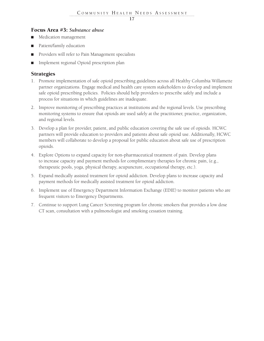### Focus Area #3: *Substance abuse*

- Medication management
- Patient/family education
- Providers will refer to Pain Management specialists
- Implement regional Opioid prescription plan

### **Strategies**

- 1. Promote implementation of safe opioid prescribing guidelines across all Healthy Columbia Willamette partner organizations. Engage medical and health care system stakeholders to develop and implement safe opioid prescribing policies. Policies should help providers to prescribe safely and include a process for situations in which guidelines are inadequate.
- 2. Improve monitoring of prescribing practices at institutions and the regional levels. Use prescribing monitoring systems to ensure that opioids are used safely at the practitioner, practice, organization, and regional levels.
- 3. Develop a plan for provider, patient, and public education covering the safe use of opioids. HCWC partners will provide education to providers and patients about safe opioid use. Additionally, HCWC members will collaborate to develop a proposal for public education about safe use of prescription opioids.
- 4. Explore Options to expand capacity for non-pharmaceutical treatment of pain. Develop plans to increase capacity and payment methods for complimentary therapies for chronic pain, (e.g., therapeutic pools, yoga, physical therapy, acupuncture, occupational therapy, etc.).
- 5. Expand medically assisted treatment for opioid addiction. Develop plans to increase capacity and payment methods for medically assisted treatment for opioid addiction.
- 6. Implement use of Emergency Department Information Exchange (EDIE) to monitor patients who are frequent visitors to Emergency Departments.
- 7. Continue to support Lung Cancer Screening program for chronic smokers that provides a low dose CT scan, consultation with a pulmonologist and smoking cessation training.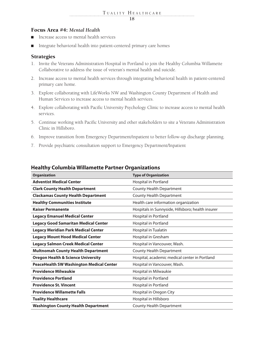### Focus Area #4: *Mental Health*

- Increase access to mental health services
- Integrate behavioral health into patient-centered primary care homes

### **Strategies**

- 1. Invite the Veterans Administration Hospital in Portland to join the Healthy Columbia Willamette Collaborative to address the issue of veteran's mental health and suicide.
- 2. Increase access to mental health services through integrating behavioral health in patient-centered primary care home.
- 3. Explore collaborating with LifeWorks NW and Washington County Department of Health and Human Services to increase access to mental health services.
- 4. Explore collaborating with Pacific University Psychology Clinic to increase access to mental health services.
- 5. Continue working with Pacific University and other stakeholders to site a Veterans Administration Clinic in Hillsboro.
- 6. Improve transition from Emergency Department/inpatient to better follow-up discharge planning.
- 7. Provide psychiatric consultation support to Emergency Department/Inpatient

| <b>Organization</b>                             | <b>Type of Organization</b>                       |
|-------------------------------------------------|---------------------------------------------------|
| <b>Adventist Medical Center</b>                 | Hospital in Portland                              |
| <b>Clark County Health Department</b>           | <b>County Health Department</b>                   |
| <b>Clackamas County Health Department</b>       | <b>County Health Department</b>                   |
| <b>Healthy Communities Institute</b>            | Health care information organization              |
| <b>Kaiser Permanente</b>                        | Hospitals in Sunnyside, Hillsboro; health insurer |
| <b>Legacy Emanuel Medical Center</b>            | Hospital in Portland                              |
| <b>Legacy Good Samaritan Medical Center</b>     | Hospital in Portland                              |
| <b>Legacy Meridian Park Medical Center</b>      | Hospital in Tualatin                              |
| <b>Legacy Mount Hood Medical Center</b>         | Hospital in Gresham                               |
| <b>Legacy Salmon Creek Medical Center</b>       | Hospital in Vancouver, Wash.                      |
| <b>Multnomah County Health Department</b>       | <b>County Health Department</b>                   |
| <b>Oregon Health &amp; Science University</b>   | Hospital, academic medical center in Portland     |
| <b>PeaceHealth SW Washington Medical Center</b> | Hospital in Vancouver, Wash.                      |
| <b>Providence Milwaukie</b>                     | Hospital in Milwaukie                             |
| <b>Providence Portland</b>                      | Hospital in Portland                              |
| <b>Providence St. Vincent</b>                   | Hospital in Portland                              |
| <b>Providence Willamette Falls</b>              | Hospital in Oregon City                           |
| <b>Tuality Healthcare</b>                       | Hospital in Hillsboro                             |
| <b>Washington County Health Department</b>      | <b>County Health Department</b>                   |

### **Healthy Columbia Willamette Partner Organizations**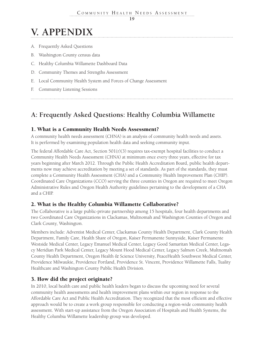## **V. APPENDIX**

- A. Frequently Asked Questions
- B. Washington County census data
- C. Healthy Columbia Willamette Dashboard Data
- D. Community Themes and Strengths Assessment
- E. Local Community Health System and Forces of Change Assessment
- F. Community Listening Sessions

### **A: Frequently Asked Questions: Healthy Columbia Willamette**

### 1. What is a Community Health Needs Assessment?

A community health needs assessment (CHNA) is an analysis of community health needs and assets. It is performed by examining population health data and seeking community input.

The federal Affordable Care Act, Section  $501(r)(3)$  requires tax-exempt hospital facilities to conduct a Community Health Needs Assessment (CHNA) at minimum once every three years, effective for tax years beginning after March 2012. Through the Public Health Accreditation Board, public health departments now may achieve accreditation by meeting a set of standards. As part of the standards, they must complete a Community Health Assessment (CHA) and a Community Health Improvement Plan (CHIP). Coordinated Care Organizations (CCO) serving the three counties in Oregon are required to meet Oregon Administrative Rules and Oregon Health Authority guidelines pertaining to the development of a CHA and a CHIP.

### 2. What is the Healthy Columbia Willamette Collaborative?

The Collaborative is a large public-private partnership among 15 hospitals, four health departments and two Coordinated Care Organizations in Clackamas, Multnomah and Washington Counties of Oregon and Clark County, Washington.

Members include: Adventist Medical Center, Clackamas County Health Department, Clark County Health Department, Family Care, Health Share of Oregon, Kaiser Permanente Sunnyside, Kaiser Permanente Westside Medical Center, Legacy Emanuel Medical Center, Legacy Good Samaritan Medical Center, Legacy Meridian Park Medical Center, Legacy Mount Hood Medical Center, Legacy Salmon Creek, Multnomah County Health Department, Oregon Health & Science University, PeaceHealth Southwest Medical Center, Providence Milwaukie, Providence Portland, Providence St. Vincent, Providence Willamette Falls, Tuality Healthcare and Washington County Public Health Division.

### 3. How did the project originate?

In 2010, local health care and public health leaders began to discuss the upcoming need for several community health assessments and health improvement plans within our region in response to the Affordable Care Act and Public Health Accreditation. They recognized that the most efficient and effective approach would be to create a work group responsible for conducting a region-wide community health assessment. With start-up assistance from the Oregon Association of Hospitals and Health Systems, the Healthy Columbia Willamette leadership group was developed.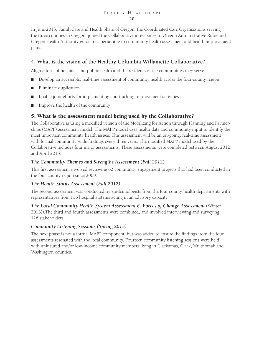In June 2013, FamilyCare and Health Share of Oregon, the Coordinated Care Organizations serving the three counties in Oregon, joined the Collaborative in response to Oregon Administrative Rules and Oregon Health Authority guidelines pertaining to community health assessment and health improvement plans.

### **4. What is the vision of the Healthy Columbia Willamette Collaborative?**

Align efforts of hospitals and public health and the residents of the communities they serve

- Develop an accessible, real-time assessment of community health across the four-county region
- Eliminate duplication
- Enable joint efforts for implementing and tracking improvement activities
- Improve the health of the community

### 5. What is the assessment model being used by the Collaborative?

The Collaborative is using a modified version of the Mobilizing for Action through Planning and Partnerships (MAPP) assessment model. The MAPP model uses health data and community input to identify the most important community health issues. This assessment will be an on-going, real-time assessment with formal community-wide findings every three years. The modified MAPP model used by the Collaborative includes four major assessments. These assessments were completed between August 2012 and April 2013:

### *The Community Themes and Strengths Assessment (Fall 2012)*

This first assessment involved reviewing 62 community engagement projects that had been conducted in the four-county region since 2009.

### *The Health Status Assessment (Fall 2012)*

The second assessment was conducted by epidemiologists from the four county health departments with representatives from two hospital systems acting in an advisory capacity.

*The Local Community Health System Assessment & Forces of Change Assessment* (Winter 2013)).The third and fourth assessments were combined, and involved interviewing and surveying 126 stakeholders.

### *Community Listening Sessions (Spring 2013)*

The next phase is not a formal MAPP component, but was added to ensure the findings from the four assessments resonated with the local community. Fourteen community listening sessions were held with uninsured and/or low-income community members living in Clackamas, Clark, Multnomah and Washington counties.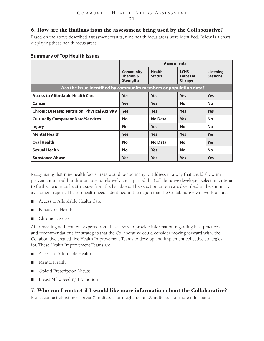### 6. How are the findings from the assessment being used by the Collaborative?

Based on the above described assessment results, nine health focus areas were identified. Below is a chart displaying these health focus areas.

### **Summary of Top Health Issues**

|                                                                   | <b>Assessments</b>                               |                                |                                           |                                     |
|-------------------------------------------------------------------|--------------------------------------------------|--------------------------------|-------------------------------------------|-------------------------------------|
|                                                                   | <b>Community</b><br>Themes &<br><b>Strengths</b> | <b>Health</b><br><b>Status</b> | <b>LCHS</b><br><b>Forces of</b><br>Change | <b>Listening</b><br><b>Sessions</b> |
| Was the issue identified by community members or population data? |                                                  |                                |                                           |                                     |
| <b>Access to Affordable Health Care</b>                           | <b>Yes</b>                                       | <b>Yes</b>                     | <b>Yes</b>                                | <b>Yes</b>                          |
| Cancer                                                            | <b>Yes</b>                                       | <b>Yes</b>                     | <b>No</b>                                 | <b>No</b>                           |
| <b>Chronic Disease: Nutrition, Physical Activity</b>              | <b>Yes</b>                                       | <b>Yes</b>                     | <b>Yes</b>                                | <b>Yes</b>                          |
| <b>Culturally Competent Data/Services</b>                         | <b>No</b>                                        | <b>No Data</b>                 | <b>Yes</b>                                | <b>No</b>                           |
| <b>Injury</b>                                                     | <b>No</b>                                        | <b>Yes</b>                     | <b>No</b>                                 | <b>No</b>                           |
| <b>Mental Health</b>                                              | <b>Yes</b>                                       | <b>Yes</b>                     | <b>Yes</b>                                | <b>Yes</b>                          |
| <b>Oral Health</b>                                                | <b>No</b>                                        | <b>No Data</b>                 | <b>No</b>                                 | <b>Yes</b>                          |
| <b>Sexual Health</b>                                              | <b>No</b>                                        | <b>Yes</b>                     | <b>No</b>                                 | <b>No</b>                           |
| <b>Substance Abuse</b>                                            | <b>Yes</b>                                       | <b>Yes</b>                     | <b>Yes</b>                                | <b>Yes</b>                          |

Recognizing that nine health focus areas would be too many to address in a way that could show improvement in health indicators over a relatively short period the Collaborative developed selection criteria to further prioritize health issues from the list above. The selection criteria are described in the summary assessment report. The top health needs identified in the region that the Collaborative will work on are:

- Access to Affordable Health Care
- Behavioral Health
- Chronic Disease

After meeting with content experts from these areas to provide information regarding best practices and recommendations for strategies that the Collaborative could consider moving forward with, the Collaborative created five Health Improvement Teams to develop and implement collective strategies for. These Health Improvement Teams are:

- Access to Affordable Health
- Mental Health
- Opioid Prescription Misuse
- Breast Milk/Feeding Promotion

### 7. Who can I contact if I would like more information about the Collaborative?

Please contact christine.e.sorvari@multco.us or meghan.crane@multco.us for more information.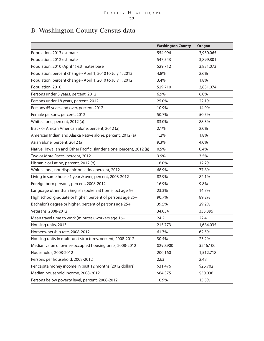### **B: Washington County Census data**

|                                                                     | <b>Washington County</b> | <b>Oregon</b> |
|---------------------------------------------------------------------|--------------------------|---------------|
| Population, 2013 estimate                                           | 554,996                  | 3,930,065     |
| Population, 2012 estimate                                           | 547,543                  | 3,899,801     |
| Population, 2010 (April 1) estimates base                           | 529,712                  | 3,831,073     |
| Population, percent change - April 1, 2010 to July 1, 2013          | 4.8%                     | 2.6%          |
| Population, percent change - April 1, 2010 to July 1, 2012          | 3.4%                     | 1.8%          |
| Population, 2010                                                    | 529,710                  | 3,831,074     |
| Persons under 5 years, percent, 2012                                | 6.9%                     | 6.0%          |
| Persons under 18 years, percent, 2012                               | 25.0%                    | 22.1%         |
| Persons 65 years and over, percent, 2012                            | 10.9%                    | 14.9%         |
| Female persons, percent, 2012                                       | 50.7%                    | 50.5%         |
| White alone, percent, 2012 (a)                                      | 83.0%                    | 88.3%         |
| Black or African American alone, percent, 2012 (a)                  | 2.1%                     | 2.0%          |
| American Indian and Alaska Native alone, percent, 2012 (a)          | 1.2%                     | 1.8%          |
| Asian alone, percent, 2012 (a)                                      | 9.3%                     | 4.0%          |
| Native Hawaiian and Other Pacific Islander alone, percent, 2012 (a) | 0.5%                     | 0.4%          |
| Two or More Races, percent, 2012                                    | 3.9%                     | 3.5%          |
| Hispanic or Latino, percent, 2012 (b)                               | 16.0%                    | 12.2%         |
| White alone, not Hispanic or Latino, percent, 2012                  | 68.9%                    | 77.8%         |
| Living in same house 1 year & over, percent, 2008-2012              | 82.9%                    | 82.1%         |
| Foreign born persons, percent, 2008-2012                            | 16.9%                    | 9.8%          |
| Language other than English spoken at home, pct age 5+              | 23.3%                    | 14.7%         |
| High school graduate or higher, percent of persons age 25+          | 90.7%                    | 89.2%         |
| Bachelor's degree or higher, percent of persons age 25+             | 39.5%                    | 29.2%         |
| Veterans, 2008-2012                                                 | 34,054                   | 333,395       |
| Mean travel time to work (minutes), workers age 16+                 | 24.2                     | 22.4          |
| Housing units, 2013                                                 | 215,773                  | 1,684,035     |
| Homeownership rate, 2008-2012                                       | 61.7%                    | 62.5%         |
| Housing units in multi-unit structures, percent, 2008-2012          | 30.4%                    | 23.2%         |
| Median value of owner-occupied housing units, 2008-2012             | \$290,900                | \$246,100     |
| Households, 2008-2012                                               | 200,160                  | 1,512,718     |
| Persons per household, 2008-2012                                    | 2.63                     | 2.48          |
| Per capita money income in past 12 months (2012 dollars)            | \$31,476                 | \$26,702      |
| Median household income, 2008-2012                                  | \$64,375                 | \$50,036      |
| Persons below poverty level, percent, 2008-2012                     | 10.9%                    | 15.5%         |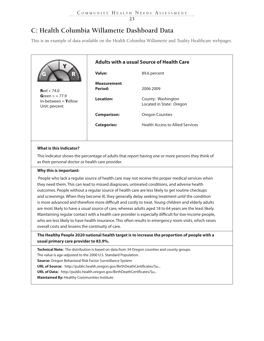### **C: Health Columbia Willamette Dashboard Data**

This is an example of data available on the Health Columbia Willamette and Tuality Healthcare webpages.

|                                                                                                                                                                                                                                                                                                                                                                                                                                                                                                                 | <b>Adults with a usual Source of Health Care</b> |                                                |  |  |  |  |
|-----------------------------------------------------------------------------------------------------------------------------------------------------------------------------------------------------------------------------------------------------------------------------------------------------------------------------------------------------------------------------------------------------------------------------------------------------------------------------------------------------------------|--------------------------------------------------|------------------------------------------------|--|--|--|--|
|                                                                                                                                                                                                                                                                                                                                                                                                                                                                                                                 | Value:                                           | 89.6 percent                                   |  |  |  |  |
| Red < 74.0                                                                                                                                                                                                                                                                                                                                                                                                                                                                                                      | <b>Measurement</b><br>Period:                    | 2006 2009                                      |  |  |  |  |
| Green $> = 77.9$<br>In-between $=$ Yellow<br>Unit: percent                                                                                                                                                                                                                                                                                                                                                                                                                                                      | <b>Location:</b>                                 | County: Washington<br>Located in State: Oregon |  |  |  |  |
|                                                                                                                                                                                                                                                                                                                                                                                                                                                                                                                 | <b>Comparison:</b>                               | <b>Oregon Counties</b>                         |  |  |  |  |
|                                                                                                                                                                                                                                                                                                                                                                                                                                                                                                                 | <b>Categories:</b>                               | <b>Health Access to Allied Services</b>        |  |  |  |  |
|                                                                                                                                                                                                                                                                                                                                                                                                                                                                                                                 |                                                  |                                                |  |  |  |  |
| What is this Indicator?                                                                                                                                                                                                                                                                                                                                                                                                                                                                                         |                                                  |                                                |  |  |  |  |
| This indicator shows the percentage of adults that report having one or more persons they think of<br>as their personal doctor or health care provider.                                                                                                                                                                                                                                                                                                                                                         |                                                  |                                                |  |  |  |  |
| Why this is important:                                                                                                                                                                                                                                                                                                                                                                                                                                                                                          |                                                  |                                                |  |  |  |  |
| People who lack a regular source of health care may not receive the proper medical services when<br>they need them. This can lead to missed diagnoses, untreated conditions, and adverse health<br>outcomes. People without a regular source of health care are less likely to get routine checkups<br>and screenings. When they become ill, they generally delay seeking treatment until the condition<br>is more advanced and therefore more difficult and costly to treat. Young children and elderly adults |                                                  |                                                |  |  |  |  |
| are most likely to have a usual source of care, whereas adults aged 18 to 64 years are the least likely.                                                                                                                                                                                                                                                                                                                                                                                                        |                                                  |                                                |  |  |  |  |

Maintaining regular contact with a health care provider is especially difficult for low-income people, who are less likely to have health insurance. This often results in emergency room visits, which raises overall costs and lessens the continuity of care.

### **The Healthy People 2020 national health target is to increase the proportion of people with a usual primary care provider to 83.9%.**

**Technical Note:** The distribution is based on data from 34 Oregon counties and county groups.

The value is age-adjusted to the 2000 U.S. Standard Population.

**Source:** Oregon Behavioral Risk Factor Surveillance System

**URL of Source:** http://public.health.oregon.gov/BirthDeathCertificates/Su...

**URL of Data:** http://public.health.oregon.gov/BirthDeathCertificates/Su...

**Maintained By:** Healthy Communities Institute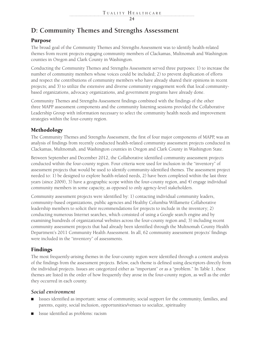### **D: Community Themes and Strengths Assessment**

### Purpose

The broad goal of the Community Themes and Strengths Assessment was to identify health-related themes from recent projects engaging community members of Clackamas, Multnomah and Washington counties in Oregon and Clark County in Washington.

Conducting the Community Themes and Strengths Assessment served three purposes: 1) to increase the number of community members whose voices could be included; 2) to prevent duplication of efforts and respect the contributions of community members who have already shared their opinions in recent projects; and 3) to utilize the extensive and diverse community engagement work that local communitybased organizations, advocacy organizations, and government programs have already done.

Community Themes and Strengths Assessment findings combined with the findings of the other three MAPP assessment components and the community listening sessions provided the Collaborative Leadership Group with information necessary to select the community health needs and improvement strategies within the four-county region.

### Methodology

The Community Themes and Strengths Assessment, the first of four major components of MAPP, was an analysis of findings from recently conducted health-related community assessment projects conducted in Clackamas, Multnomah, and Washington counties in Oregon and Clark County in Washington State.

Between September and December 2012, the Collaborative identified community assessment projects conducted within the four-county region. Four criteria were used for inclusion in the "inventory" of assessment projects that would be used to identify community-identified themes. The assessment project needed to: 1) be designed to explore health-related needs, 2) have been completed within the last three years (since 2009), 3) have a geographic scope within the four-county region, and 4) engage individual community members in some capacity, as opposed to only agency-level stakeholders.

Community assessment projects were identified by: 1) contacting individual community leaders, community-based organizations, public agencies and Healthy Columbia Willamette Collaborative leadership members to solicit their recommendations for projects to include in the inventory; 2) conducting numerous Internet searches, which consisted of using a Google search engine and by examining hundreds of organizational websites across the four-county region and; 3) including recent community assessment projects that had already been identified through the Multnomah County Health Department's 2011 Community Health Assessment. In all, 62 community assessment projects' findings were included in the "inventory" of assessments.

### Findings

The most frequently-arising themes in the four-county region were identified through a content analysis of the findings from the assessment projects. Below, each theme is defined using descriptors directly from the individual projects. Issues are categorized either as "important" or as a "problem." In Table 1, these themes are listed in the order of how frequently they arose in the four-county region, as well as the order they occurred in each county.

### *Social environment*

- Issues identified as important: sense of community, social support for the community, families, and parents, equity, social inclusion, opportunities/venues to socialize, spirituality
- Issue identified as problems: racism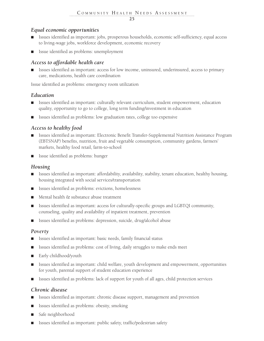### *Equal economic opportunities*

- Issues identified as important: jobs, prosperous households, economic self-sufficiency, equal access to living-wage jobs, workforce development, economic recovery
- Issue identified as problems: unemployment

### *Access to affordable health care*

■ Issues identified as important: access for low income, uninsured, underinsured, access to primary care, medications, health care coordination

Issue identified as problems: emergency room utilization

### *Education*

- Issues identified as important: culturally relevant curriculum, student empowerment, education quality, opportunity to go to college, long term funding/investment in education
- Issues identified as problems: low graduation rates, college too expensive

### *Access to healthy food*

- Issues identified as important: Electronic Benefit Transfer-Supplemental Nutrition Assistance Program (EBTSNAP) benefits, nutrition, fruit and vegetable consumption, community gardens, farmers' markets, healthy food retail, farm-to-school
- Issue identified as problems: hunger

### *Housing*

- Issues identified as important: affordability, availability, stability, tenant education, healthy housing, housing integrated with social services/transportation
- Issues identified as problems: evictions, homelessness
- Mental health & substance abuse treatment
- Issues identified as important: access for culturally-specific groups and LGBTQI community, counseling, quality and availability of inpatient treatment, prevention
- Issues identified as problems: depression, suicide, drug/alcohol abuse

### *Poverty*

- Issues identified as important: basic needs, family financial status
- Issues identified as problems: cost of living, daily struggles to make ends meet
- Early childhood/youth
- Issues identified as important: child welfare, youth development and empowerment, opportunities for youth, parental support of student education experience
- Issues identified as problems: lack of support for youth of all ages, child protection services

### *Chronic disease*

- Issues identified as important: chronic disease support, management and prevention
- Issues identified as problems: obesity, smoking
- Safe neighborhood
- Issues identified as important: public safety, traffic/pedestrian safety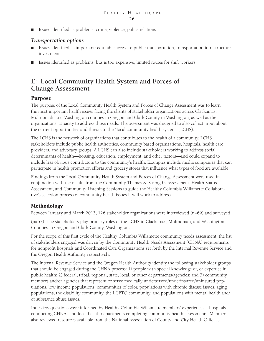Issues identified as problems: crime, violence, police relations

### *Transportation options*

- Issues identified as important: equitable access to public transportation, transportation infrastructure investments
- Issues identified as problems: bus is too expensive, limited routes for shift workers

### **E: Local Community Health System and Forces of Change Assessment**

### Purpose

The purpose of the Local Community Health System and Forces of Change Assessment was to learn the most important health issues facing the clients of stakeholder organizations across Clackamas, Multnomah, and Washington counties in Oregon and Clark County in Washington, as well as the organizations' capacity to address those needs. The assessment was designed to also collect input about the current opportunities and threats to the "local community health system" (LCHS).

The LCHS is the network of organizations that contributes to the health of a community. LCHS stakeholders include public health authorities, community based organizations, hospitals, health care providers, and advocacy groups. A LCHS can also include stakeholders working to address social determinants of health—housing, education, employment, and other factors—and could expand to include less obvious contributors to the community's health. Examples include media companies that can participate in health promotion efforts and grocery stores that influence what types of food are available.

Findings from the Local Community Health System and Forces of Change Assessment were used in conjunction with the results from the Community Themes & Strengths Assessment, Health Status Assessment, and Community Listening Sessions to guide the Healthy Columbia Willamette Collaborative's selection process of community health issues it will work to address.

### Methodology

Between January and March 2013, 126 stakeholder organizations were interviewed (n=69) and surveyed

(n=57). The stakeholders play primary roles of the LCHS in Clackamas, Multnomah, and Washington Counties in Oregon and Clark County, Washington.

For the scope of this first cycle of the Healthy Columbia Willamette community needs assessment, the list of stakeholders engaged was driven by the Community Health Needs Assessment (CHNA) requirements for nonprofit hospitals and Coordinated Care Organizations set forth by the Internal Revenue Service and the Oregon Health Authority respectively.

The Internal Revenue Service and the Oregon Health Authority identify the following stakeholder groups that should be engaged during the CHNA process: 1) people with special knowledge of, or expertise in public health; 2) federal, tribal, regional, state, local, or other departments/agencies; and 3) community members and/or agencies that represent or serve medically underserved/underinsured/uninsured populations, low income populations, communities of color, populations with chronic disease issues, aging populations, the disability community, the LGBTQ community, and populations with mental health and/ or substance abuse issues.

Interview questions were informed by Healthy Columbia Willamette members' experiences—hospitals conducting CHNAs and local health departments completing community health assessments. Members also reviewed resources available from the National Association of County and City Health Officials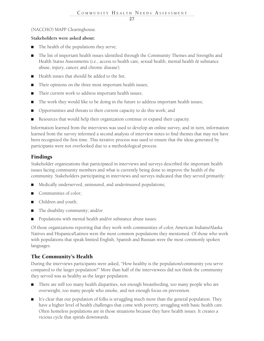### (NACCHO) MAPP Clearinghouse.

### **Stakeholders were asked about:**

- The health of the populations they serve;
- The list of important health issues identified through the Community Themes and Strengths and Health Status Assessments (i.e., access to health care, sexual health, mental health & substance abuse, injury, cancer, and chronic disease);
- Health issues that should be added to the list;
- Their opinions on the three most important health issues;
- Their current work to address important health issues;
- The work they would like to be doing in the future to address important health issues;
- Opportunities and threats to their current capacity to do this work; and
- Resources that would help their organization continue or expand their capacity.

Information learned from the interviews was used to develop an online survey, and in turn, information learned from the survey informed a second analysis of interview notes to find themes that may not have been recognized the first time. This iterative process was used to ensure that the ideas generated by participants were not overlooked due to a methodological process.

### Findings

Stakeholder organizations that participated in interviews and surveys described the important health issues facing community members and what is currently being done to improve the health of the community. Stakeholders participating in interviews and surveys indicated that they served primarily:

- Medically underserved, uninsured, and underinsured populations;
- Communities of color:
- Children and youth;
- The disability community; and/or
- Populations with mental health and/or substance abuse issues.

Of those organizations reporting that they work with communities of color, American Indians/Alaska Natives and Hispanics/Latinos were the most common populations they mentioned. Of those who work with populations that speak limited English, Spanish and Russian were the most commonly spoken languages.

### The Community's Health

During the interviews participants were asked, "How healthy is the population/community you serve compared to the larger population?" More than half of the interviewees did not think the community they served was as healthy as the larger population.

- There are still too many health disparities, not enough breastfeeding, too many people who are overweight, too many people who smoke, and not enough focus on prevention.
- It's clear that our population of folks is struggling much more than the general population. They have a higher level of health challenges that come with poverty, struggling with basic health care. Often homeless populations are in those situations because they have health issues. It creates a vicious cycle that spirals downwards.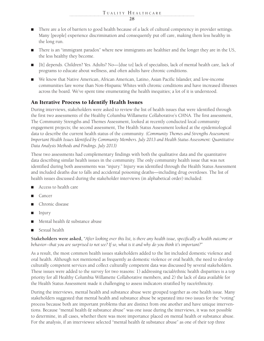- There are a lot of barriers to good health because of a lack of cultural competency in provider settings. Many [people] experience discrimination and consequently put off care, making them less healthy in the long run.
- There is an "immigrant paradox" where new immigrants are healthier and the longer they are in the US, the less healthy they become.
- [It] depends. Children? Yes. Adults? No—[due to] lack of specialists, lack of mental health care, lack of programs to educate about wellness, and often adults have chronic conditions.
- We know that Native American, African American, Latino, Asian Pacific Islander, and low-income communities fare worse than Non-Hispanic Whites with chronic conditions and have increased illnesses across the board. We've spent time enumerating the health inequities; a lot of it is understood.

### An Iterative Process to Identify Health Issues

During interviews, stakeholders were asked to review the list of health issues that were identified through the first two assessments of the Healthy Columbia Willamette Collaborative's CHNA. The first assessment, The Community Strengths and Themes Assessment, looked at recently conducted local community engagement projects; the second assessment, The Health Status Assessment looked at the epidemiological data to describe the current health status of the community. *(Community Themes and Strengths Assessment: Important Health Issues Identified by Community Members. July 2013 and Health Status Assessment: Quantitative Data Analysis Methods and Findings. July 2013)*

These two assessments had complementary findings with both the qualitative data and the quantitative data describing similar health issues in the community. The only community health issue that was not identified during both assessments was "injury." Injury was identified through the Health Status Assessment and included deaths due to falls and accidental poisoning deaths—including drug overdoses. The list of health issues discussed during the stakeholder interviews (in alphabetical order) included:

- Access to health care
- Cancer
- Chronic disease
- Injury
- Mental health & substance abuse
- Sexual health

**Stakeholders were asked,** *"After looking over this list, is there any health issue, specifically a health outcome or behavior--that you are surprised to not see? If so, what is it and why do you think it's important?"*

As a result, the most common health issues stakeholders added to the list included domestic violence and oral health. Although not mentioned as frequently as domestic violence or oral health, the need to develop culturally competent services and collect culturally competent data was discussed by several stakeholders. These issues were added to the survey for two reasons: 1) addressing racial/ethnic health disparities is a top priority for all Healthy Columbia Willamette Collaborative members, and 2) the lack of data available for the Health Status Assessment made it challenging to assess indicators stratified by race/ethnicity.

During the interviews, mental health and substance abuse were grouped together as one health issue. Many stakeholders suggested that mental health and substance abuse be separated into two issues for the "voting" process because both are important problems that are distinct from one another and have unique interventions. Because "mental health & substance abuse" was one issue during the interviews, it was not possible to determine, in all cases, whether there was more importance placed on mental health or substance abuse. For the analysis, if an interviewee selected "mental health & substance abuse" as one of their top three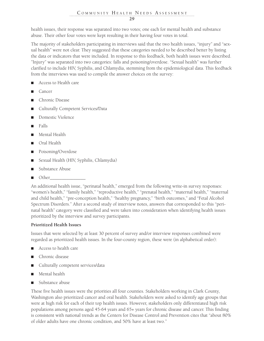health issues, their response was separated into two votes; one each for mental health and substance abuse. Their other four votes were kept resulting in their having four votes in total.

The majority of stakeholders participating in interviews said that the two health issues, "injury" and "sexual health" were not clear. They suggested that these categories needed to be described better by listing the data or indicators that were included. In response to this feedback, both health issues were described. "Injury" was separated into two categories: falls and poisoning/overdose. "Sexual health" was further clarified to include HIV, Syphilis, and Chlamydia, stemming from the epidemiological data. This feedback from the interviews was used to compile the answer choices on the survey:

- Access to Health care
- Cancer
- Chronic Disease
- Culturally Competent Services/Data
- Domestic Violence
- Falls
- Mental Health
- Oral Health
- Poisoning/Overdose
- Sexual Health (HIV, Syphilis, Chlamydia)
- Substance Abuse
- Other\_\_\_\_\_\_\_\_\_\_\_\_\_\_\_

An additional health issue, "perinatal health," emerged from the following write-in survey responses: "women's health," "family health," "reproductive health," "prenatal health," "maternal health," "maternal and child health," "pre-conception health," "healthy pregnancy," "birth outcomes," and "Fetal Alcohol Spectrum Disorders." After a second study of interview notes, answers that corresponded to this "perinatal health" category were classified and were taken into consideration when identifying health issues prioritized by the interview and survey participants.

### **Prioritized Health Issues**

Issues that were selected by at least 30 percent of survey and/or interview responses combined were regarded as prioritized health issues. In the four-county region, these were (in alphabetical order):

- Access to health care
- Chronic disease
- Culturally competent services/data
- Mental health
- Substance abuse

These five health issues were the priorities all four counties. Stakeholders working in Clark County, Washington also prioritized cancer and oral health. Stakeholders were asked to identify age groups that were at high risk for each of their top health issues. However, stakeholders only differentiated high risk populations among persons aged 45-64 years and 65+ years for chronic disease and cancer. This finding is consistent with national trends as the Centers for Disease Control and Prevention cites that "about 80% of older adults have one chronic condition, and 50% have at least two."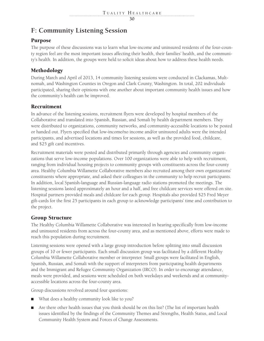### **F: Community Listening Session**

### Purpose

The purpose of these discussions was to learn what low-income and uninsured residents of the four-county region feel are the most important issues affecting their health, their families' health, and the community's health. In addition, the groups were held to solicit ideas about how to address these health needs.

### Methodology

During March and April of 2013, 14 community listening sessions were conducted in Clackamas, Multnomah, and Washington Counties in Oregon and Clark County, Washington. In total, 202 individuals participated, sharing their opinions with one another about important community health issues and how the community's health can be improved.

### Recruitment

In advance of the listening sessions, recruitment flyers were developed by hospital members of the Collaborative and translated into Spanish, Russian, and Somali by health department members. They were distributed to organizations, community networks, and community-accessible locations to be posted or handed out. Flyers specified that low-income/no income and/or uninsured adults were the intended participants, and advertised locations and times for sessions, as well as the provided food, childcare, and \$25 gift card incentives.

Recruitment materials were posted and distributed primarily through agencies and community organizations that serve low-income populations. Over 100 organizations were able to help with recruitment, ranging from individual housing projects to community groups with constituents across the four-county area. Healthy Columbia Willamette Collaborative members also recruited among their own organizations' constituents where appropriate, and asked their colleagues in the community to help recruit participants. In addition, local Spanish-language and Russian-language radio stations promoted the meetings. The listening sessions lasted approximately an hour and a half, and free childcare services were offered on site. Hospital partners provided meals and childcare for each group. Hospitals also provided \$25 Fred Meyer gift-cards for the first 25 participants in each group to acknowledge participants' time and contribution to the project.

### Group Structure

The Healthy Columbia Willamette Collaborative was interested in hearing specifically from low-income and uninsured residents from across the four-county area, and as mentioned above, efforts were made to reach this population during recruitment.

Listening sessions were opened with a large group introduction before splitting into small discussion groups of 10 or fewer participants. Each small discussion group was facilitated by a different Healthy Columbia Willamette Collaborative member or interpreter. Small groups were facilitated in English, Spanish, Russian, and Somali with the support of interpreters from participating health departments and the Immigrant and Refugee Community Organization (IRCO). In order to encourage attendance, meals were provided, and sessions were scheduled on both weekdays and weekends and at communityaccessible locations across the four-county area.

Group discussions revolved around four questions:

- What does a healthy community look like to you?
- Are there other health issues that you think should be on this list? (The list of important health issues identified by the findings of the Community Themes and Strengths, Health Status, and Local Community Health System and Forces of Change Assessments.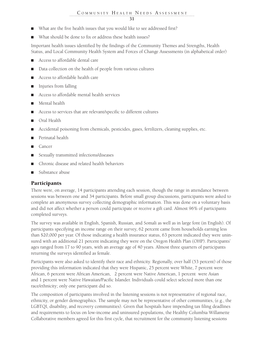- What are the five health issues that you would like to see addressed first?
- What should be done to fix or address these health issues?

Important health issues identified by the findings of the Community Themes and Strengths, Health Status, and Local Community Health System and Forces of Change Assessments (in alphabetical order)

- Access to affordable dental care
- Data collection on the health of people from various cultures
- Access to affordable health care
- Injuries from falling
- Access to affordable mental health services
- Mental health
- Access to services that are relevant/specific to different cultures
- Oral Health
- Accidental poisoning from chemicals, pesticides, gases, fertilizers, cleaning supplies, etc.
- Perinatal health
- **Cancer**
- Sexually transmitted infections/diseases
- Chronic disease and related health behaviors
- Substance abuse

### Participants

There were, on average, 14 participants attending each session, though the range in attendance between sessions was between one and 34 participants. Before small group discussions, participants were asked to complete an anonymous survey collecting demographic information. This was done on a voluntary basis and did not affect whether a person could participate or receive a gift card. Almost 96% of participants completed surveys.

The survey was available in English, Spanish, Russian, and Somali as well as in large font (in English). Of participants specifying an income range on their survey, 62 percent came from households earning less than \$20,000 per year. Of those indicating a health insurance status, 63 percent indicated they were uninsured with an additional 21 percent indicating they were on the Oregon Health Plan (OHP). Participants' ages ranged from 17 to 90 years, with an average age of 40 years. Almost three quarters of participants returning the surveys identified as female.

Participants were also asked to identify their race and ethnicity. Regionally, over half (53 percent) of those providing this information indicated that they were Hispanic, 25 percent were White, 7 percent were African, 6 percent were African American, 2 percent were Native American, 1 percent were Asian and 1 percent were Native Hawaiian/Pacific Islander. Individuals could select selected more than one race/ethnicity; only one participant did so.

The composition of participants involved in the listening sessions is not representative of regional race, ethnicity, or gender demographics. The sample may not be representative of other communities, (e.g., the LGBTQI, disability, and recovery communities). Given that hospitals have impending tax filing deadlines and requirements to focus on low-income and uninsured populations, the Healthy Columbia Willamette Collaborative members agreed for this first cycle, that recruitment for the community listening sessions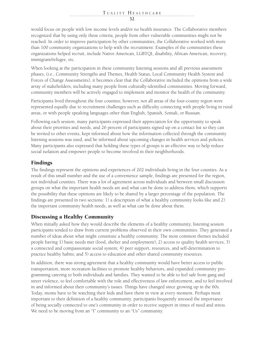would focus on people with low income levels and/or no health insurance. The Collaborative members recognized that by using only these criteria, people from other vulnerable communities might not be reached. In order to improve participation by other communities, the Collaborative worked with more than 100 community organizations to help with the recruitment. Examples of the communities these organizations helped recruit, include Native American, LGBTQI, disability, African American, recovery, immigrant/refugee, etc.

When looking at the participation in these community listening sessions and all previous assessment phases, (i.e., Community Strengths and Themes, Health Status, Local Community Health System and Forces of Change Assessments), it becomes clear that the Collaborative included the opinions from a wide array of stakeholders, including many people from culturally-identified communities. Moving forward, community members will be actively engaged to implement and monitor the health of the community.

Participants lived throughout the four counties; however, not all areas of the four-county region were represented equally due to recruitment challenges such as difficulty connecting with people living in rural areas, or with people speaking languages other than English, Spanish, Somali, or Russian.

Following each session, many participants expressed their appreciation for the opportunity to speak about their priorities and needs, and 26 percent of participants signed up on a contact list so they can be invited to other events, kept informed about how the information collected through the community listening sessions was used, and be informed about upcoming changes in health services and policies. Many participants also expressed that holding these types of groups is an effective way to help reduce social isolation and empower people to become involved in their neighborhoods.

### Findings

The findings represent the opinions and experiences of 202 individuals living in the four counties. As a result of this small number and the use of a convenience sample, findings are presented for the region, not individual counties. There was a lot of agreement across individuals and between small discussion groups on what the important health needs are and what can be done to address them, which supports the possibility that these opinions are likely to be shared by a larger percentage of the population. The findings are presented in two sections: 1) a description of what a healthy community looks like and 2) the important community health needs, as well as what can be done about them.

### Discussing a Healthy Community

When initially asked how they would describe the elements of a healthy community, listening session participants tended to draw from current problems observed in their own communities. They generated a number of ideas about what might constitute a healthy community. The most common themes included people having 1) basic needs met (food, shelter and employment); 2) access to quality health services; 3) a connected and compassionate social system; 4) peer support, resources, and self-determination to practice healthy habits; and 5) access to education and other shared community resources.

In addition, there was strong agreement that a healthy community would have better access to public transportation, more recreation facilities to promote healthy behaviors, and expanded community programming catering to both individuals and families. They wanted to be able to feel safe from gang and street violence, to feel comfortable with the role and effectiveness of law enforcement, and to feel involved in and informed about their community's issues. Things have changed since growing up in the 60s. Today, moms have to be watching their kids and have them in view at every moment. Perhaps most important to their definition of a healthy community, participants frequently stressed the importance of being socially connected to one's community in order to receive support in times of need and stress. We need to be moving from an "I" community to an "Us" community.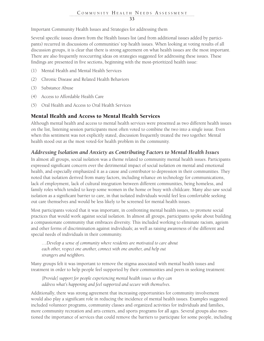Important Community Health Issues and Strategies for addressing them

Several specific issues drawn from the Health Issues list (and from additional issues added by participants) recurred in discussions of communities' top health issues. When looking at voting results of all discussion groups, it is clear that there is strong agreement on what health issues are the most important. There are also frequently reoccurring ideas on strategies suggested for addressing these issues. These findings are presented in five sections, beginning with the most-prioritized health issue:

- (1) Mental Health and Mental Health Services
- (2) Chronic Disease and Related Health Behaviors
- (3) Substance Abuse
- (4) Access to Affordable Health Care
- (5) Oral Health and Access to Oral Health Services

### Mental Health and Access to Mental Health Services

Although mental health and access to mental health services were presented as two different health issues on the list, listening session participants most often voted to combine the two into a single issue. Even when this sentiment was not explicitly stated, discussion frequently treated the two together. Mental health stood out as the most voted-for health problem in the community.

### *Addressing Isolation and Anxiety as Contributing Factors to Mental Health Issues*

In almost all groups, social isolation was a theme related to community mental health issues. Participants expressed significant concern over the detrimental impact of social isolation on mental and emotional health, and especially emphasized it as a cause and contributor to depression in their communities. They noted that isolation derived from many factors, including reliance on technology for communications, lack of employment, lack of cultural integration between different communities, being homeless, and family roles which tended to keep some women in the home or busy with childcare. Many also saw social isolation as a significant barrier to care, in that isolated individuals would feel less comfortable seeking out care themselves and would be less likely to be screened for mental health issues.

Most participants voiced that it was important, in confronting mental health issues, to promote social practices that would work against social isolation. In almost all groups, participants spoke about building a compassionate community that embraces diversity. This included working to eliminate racism, ageism and other forms of discrimination against individuals; as well as raising awareness of the different and special needs of individuals in their community.

*…Develop a sense of community where residents are motivated to care about each other, respect one another, connect with one another, and help out strangers and neighbors.*

Many groups felt it was important to remove the stigma associated with mental health issues and treatment in order to help people feel supported by their communities and peers in seeking treatment:

*[Provide] support for people experiencing mental health issues so they can address what's happening and feel supported and secure with themselves.*

Additionally, there was strong agreement that increasing opportunities for community involvement would also play a significant role in reducing the incidence of mental health issues. Examples suggested included volunteer programs, community classes and organized activities for individuals and families, more community recreation and arts centers, and sports programs for all ages. Several groups also mentioned the importance of services that could remove the barriers to participate for some people, including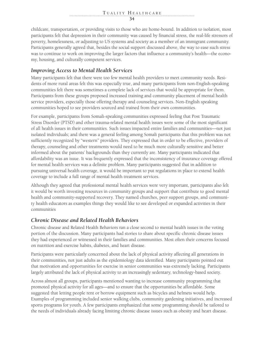childcare, transportation, or providing visits to those who are home-bound. In addition to isolation, most participants felt that depression in their community was caused by financial stress, the real-life stressors of poverty, homelessness, or adjusting to US systems and society as a member of an immigrant community. Participants generally agreed that, besides the social support discussed above, the way to ease such stress was to continue to work on improving the larger factors that influence a community's health—the economy, housing, and culturally competent services.

### *Improving Access to Mental Health Services*

Many participants felt that there were too few mental health providers to meet community needs. Residents of more rural areas felt this was especially true, and many participants from non-English-speaking communities felt there was sometimes a complete lack of services that would be appropriate for them. Participants from these groups proposed increased training and community placement of mental health service providers, especially those offering therapy and counseling services. Non-English speaking communities hoped to see providers sourced and trained from their own communities.

For example, participants from Somali-speaking communities expressed feeling that Post Traumatic Stress Disorder (PTSD) and other trauma-related mental health issues were some of the most significant of all health issues in their communities. Such issues impacted entire families and communities—not just isolated individuals; and there was a general feeling among Somali participants that this problem was not sufficiently recognized by "western" providers. They expressed that in order to be effective, providers of therapy, counseling and other treatments would need to be much more culturally sensitive and better informed about the patients' backgrounds than they currently are. Many participants indicated that affordability was an issue. It was frequently expressed that the inconsistency of insurance coverage offered for mental health services was a definite problem. Many participants suggested that in addition to pursuing universal health coverage, it would be important to put regulations in place to extend health coverage to include a full range of mental health treatment services.

Although they agreed that professional mental health services were very important, participants also felt it would be worth investing resources in community groups and support that contribute to good mental health and community-supported recovery. They named churches, peer support groups, and community health educators as examples things they would like to see developed or expanded activities in their communities

### *Chronic Disease and Related Health Behaviors*

Chronic disease and Related Health Behaviors ran a close second to mental health issues in the voting portion of the discussion. Many participants had stories to share about specific chronic disease issues they had experienced or witnessed in their families and communities. Most often their concerns focused on nutrition and exercise habits, diabetes, and heart disease.

Participants were particularly concerned about the lack of physical activity affecting all generations in their communities, not just adults as the epidemiology data identified. Many participants pointed out that motivation and opportunities for exercise in senior communities was extremely lacking. Participants largely attributed the lack of physical activity to an increasingly sedentary, technology-based society.

Across almost all groups, participants mentioned wanting to increase community programming that promoted physical activity for all ages—and to ensure that the opportunities be affordable. Some suggested that letting people rent or borrow equipment such as bicycles and helmets would help. Examples of programming included senior walking clubs, community gardening initiatives, and increased sports programs for youth. A few participants emphasized that some programming should be tailored to the needs of individuals already facing limiting chronic disease issues such as obesity and heart disease.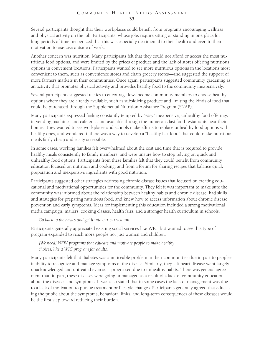Several participants thought that their workplaces could benefit from programs encouraging wellness and physical activity on the job. Participants, whose jobs require sitting or standing in one place for long periods of time, recognized that this was especially detrimental to their health and even to their motivation to exercise outside of work.

Another concern was nutrition. Many participants felt that they could not afford or access the most nutritious food options, and were limited by the prices of produce and the lack of stores offering nutritious options in convenient locations. Participants wanted to see more nutritious options in the locations most convenient to them, such as convenience stores and chain grocery stores—and suggested the support of more farmers markets in their communities. Once again, participants suggested community gardening as an activity that promotes physical activity and provides healthy food to the community inexpensively.

Several participants suggested tactics to encourage low-income community members to choose healthy options where they are already available, such as subsidizing produce and limiting the kinds of food that could be purchased through the Supplemental Nutrition Assistance Program (SNAP).

Many participants expressed feeling constantly tempted by "easy" inexpensive, unhealthy food offerings in vending machines and cafeterias and available through the numerous fast food restaurants near their homes. They wanted to see workplaces and schools make efforts to replace unhealthy food options with healthy ones, and wondered if there was a way to develop a "healthy fast food" that could make nutritious meals fairly cheap and easily accessible.

In some cases, working families felt overwhelmed about the cost and time that is required to provide healthy meals consistently to family members, and were unsure how to stop relying on quick and unhealthy food options. Participants from these families felt that they could benefit from community education focused on nutrition and cooking, and from a forum for sharing recipes that balance quick preparation and inexpensive ingredients with good nutrition.

Participants suggested other strategies addressing chronic disease issues that focused on creating educational and motivational opportunities for the community. They felt it was important to make sure the community was informed about the relationship between healthy habits and chronic disease, had skills and strategies for preparing nutritious food, and knew how to access information about chronic disease prevention and early symptoms. Ideas for implementing this education included a strong motivational media campaign, mailers, cooking classes, health fairs, and a stronger health curriculum in schools.

*Go back to the basics and get it into our curriculum.*

Participants generally appreciated existing social services like WIC, but wanted to see this type of program expanded to reach more people not just women and children.

*[We need] NEW programs that educate and motivate people to make healthy choices, like a WIC program for adults.* 

Many participants felt that diabetes was a noticeable problem in their communities due in part to people's inability to recognize and manage symptoms of the disease. Similarly, they felt heart disease went largely unacknowledged and untreated even as it progressed due to unhealthy habits. There was general agreement that, in part, these diseases were going unmanaged as a result of a lack of community education about the diseases and symptoms. It was also stated that in some cases the lack of management was due to a lack of motivation to pursue treatment or lifestyle changes. Participants generally agreed that educating the public about the symptoms, behavioral links, and long-term consequences of these diseases would be the first step toward reducing their burden.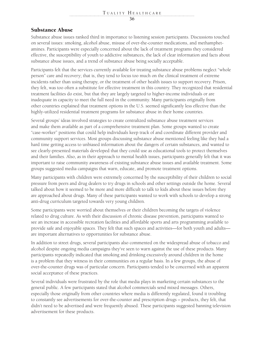### Substance Abuse

Substance abuse issues ranked third in importance to listening session participants. Discussions touched on several issues: smoking, alcohol abuse, misuse of over-the-counter medications, and methamphetamines. Participants were especially concerned about the lack of treatment programs they considered effective, the susceptibility of youth to addictive substances, the lack of clear information and facts about substance abuse issues, and a trend of substance abuse being socially acceptable.

Participants felt that the services currently available for treating substance abuse problems neglect "whole person" care and recovery; that is, they tend to focus too much on the clinical treatment of extreme incidents rather than using therapy, or the treatment of other health issues to support recovery. Prison, they felt, was too often a substitute for effective treatment in this country. They recognized that residential treatment facilities do exist, but that they are largely targeted to higher-income individuals or are inadequate in capacity to meet the full need in the community. Many participants originally from other countries explained that treatment options in the U.S. seemed significantly less effective than the highly-utilized residential treatment programs for substance abuse in their home countries.

Several groups' ideas involved strategies to create centralized substance abuse treatment services and make them available as part of a comprehensive treatment plan. Some groups wanted to create "case-worker" positions that could help individuals keep track of and coordinate different provider and community support services. Most groups discussing substance abuse mentioned feeling like they had a hard time getting access to unbiased information about the dangers of certain substances, and wanted to see clearly-presented materials developed that they could use as educational tools to protect themselves and their families. Also, as in their approach to mental health issues, participants generally felt that it was important to raise community awareness of existing substance abuse issues and available treatment. Some groups suggested media campaigns that warn, educate, and promote treatment options.

Many participants with children were extremely concerned by the susceptibility of their children to social pressure from peers and drug dealers to try drugs in schools and other settings outside the home. Several talked about how it seemed to be more and more difficult to talk to kids about these issues before they are approached about drugs. Many of these participants wanted to work with schools to develop a strong anti-drug curriculum targeted towards very young children.

Some participants were worried about themselves or their children becoming the targets of violence related to drug culture. As with their discussion of chronic disease prevention, participants wanted to see an increase in accessible recreation facilities and affordable sports and arts programming available to provide safe and enjoyable spaces. They felt that such spaces and activities—for both youth and adults are important alternatives to opportunities for substance abuse.

In addition to street drugs, several participants also commented on the widespread abuse of tobacco and alcohol despite ongoing media campaigns they've seen to warn against the use of these products. Many participants repeatedly indicated that smoking and drinking excessively around children in the home is a problem that they witness in their communities on a regular basis. In a few groups, the abuse of over-the-counter drugs was of particular concern. Participants tended to be concerned with an apparent social acceptance of these practices.

Several individuals were frustrated by the role that media plays in marketing certain substances to the general public. A few participants stated that alcohol commercials send mixed messages. Others, especially those originally from other countries where media is differently regulated, found it troubling to constantly see advertisements for over-the-counter and prescription drugs – products, they felt, that didn't need to be advertised and were frequently abused. These participants suggested banning television advertisement for these products.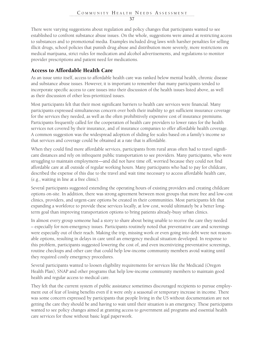There were varying suggestions about regulation and policy changes that participants wanted to see established to confront substance abuse issues. On the whole, suggestions were aimed at restricting access to substances and to promotional media. Examples included drug laws with harsher penalties for selling illicit drugs, school policies that punish drug abuse and distribution more severely, more restrictions on medical marijuana, strict rules for medication and alcohol advertisements, and regulations to monitor provider prescriptions and patient need for medications.

### Access to Affordable Health Care

As an issue unto itself, access to affordable health care was ranked below mental health, chronic disease and substance abuse issues. However, it is important to remember that many participants tended to incorporate specific access to care issues into their discussion of the health issues listed above, as well as their discussion of other less-prioritized issues.

Most participants felt that their most significant barriers to health care services were financial. Many participants expressed simultaneous concern over both their inability to get sufficient insurance coverage for the services they needed, as well as the often prohibitively expensive cost of insurance premiums. Participants frequently called for the cooperation of health care providers to lower rates for the health services not covered by their insurance, and of insurance companies to offer affordable health coverage. A common suggestion was the widespread adoption of sliding fee scales based on a family's income so that services and coverage could be obtained at a rate that is affordable.

When they could find more affordable services, participants from rural areas often had to travel significant distances and rely on infrequent public transportation to see providers. Many participants, who were struggling to maintain employment—and did not have time off, worried because they could not find affordable care at all outside of regular working hours. Many participants who had to pay for childcare, described the expense of this due to the travel and wait time necessary to access affordable health care, (e.g., waiting in line at a free clinic).

Several participants suggested extending the operating hours of existing providers and creating childcare options on-site. In addition, there was strong agreement between most groups that more free and low-cost clinics, providers, and urgent-care options be created in their communities. Most participants felt that expanding a workforce to provide these services locally, at low cost, would ultimately be a better longterm goal than improving transportation options to bring patients already-busy urban clinics.

In almost every group someone had a story to share about being unable to receive the care they needed – especially for non-emergency issues. Participants routinely noted that preventative care and screenings were especially out of their reach. Making the trip, missing work or even going into debt were not reasonable options, resulting in delays in care until an emergency medical situation developed. In response to this problem, participants suggested lowering the cost of, and even incentivizing preventative screenings, routine checkups and other care that could help low-income community members avoid waiting until they required costly emergency procedures.

Several participants wanted to loosen eligibility requirements for services like the Medicaid (Oregon Health Plan), SNAP and other programs that help low-income community members to maintain good health and regular access to medical care.

They felt that the current system of public assistance sometimes discouraged recipients to pursue employment out of fear of losing benefits even if it were only a seasonal or temporary increase in income. There was some concern expressed by participants that people living in the US without documentation are not getting the care they should be and having to wait until their situation is an emergency. These participants wanted to see policy changes aimed at granting access to government aid programs and essential health care services for those without basic legal paperwork.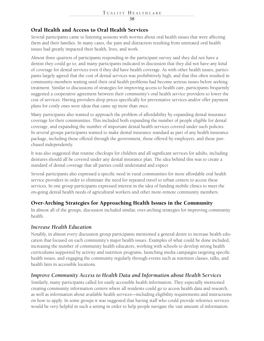### Oral Health and Access to Oral Health Services

Several participants came to listening sessions with worries about oral health issues that were affecting them and their families. In many cases, the pain and distraction resulting from untreated oral health issues had greatly impacted their health, lives, and work.

Almost three quarters of participants responding in the participant survey said they did not have a dentist they could go to, and many participants indicated in discussion that they did not have any kind of coverage for dental services even if they did have health coverage. As with other health issues, participants largely agreed that the cost of dental services was prohibitively high, and that this often resulted in community-members waiting until their oral health problems had become serious issues before seeking treatment. Similar to discussions of strategies for improving access to health care, participants frequently suggested a cooperative agreement between their community's oral health service providers to lower the cost of services. Having providers drop prices specifically for preventative services and/or offer payment plans for costly ones were ideas that came up more than once.

Many participants also wanted to approach the problem of affordability by expanding dental insurance coverage for their communities. This included both expanding the number of people eligible for dental coverage, and expanding the number of important dental health services covered under such policies. In several groups participants wanted to make dental insurance standard as part of any health insurance package, including those offered through the government, those offered by employers, and those purchased independently.

It was also suggested that routine checkups for children and all significant services for adults, including dentures should all be covered under any dental insurance plan. The idea behind this was to create a standard of dental coverage that all parties could understand and expect

Several participants also expressed a specific need in rural communities for more affordable oral health service providers in order to eliminate the need for repeated travel to urban centers to access these services. In one group participants expressed interest in the idea of funding mobile clinics to meet the on-going dental health needs of agricultural workers and other more-remote community members.

### Over-Arching Strategies for Approaching Health Issues in the Community

In almost all of the groups, discussion included similar, over-arching strategies for improving community health.

### *Increase Health Education*

Notably, in almost every discussion group participants mentioned a general desire to increase health education that focused on each community's major health issues. Examples of what could be done included, increasing the number of community health educators, working with schools to develop strong health curriculums supported by activity and nutrition programs, launching media campaigns targeting specific health issues, and engaging the community regularly through events such as nutrition classes, talks, and health fairs in accessible locations.

### *Improve Community Access to Health Data and Information about Health Services*

Similarly, many participants called for easily accessible health information. They especially mentioned creating community information centers where all residents could go to access health data and research, as well as information about available health services—including eligibility requirements and instructions on how to apply. In some groups it was suggested that having staff who could provide reference services would be very helpful in such a setting in order to help people navigate the vast amount of information.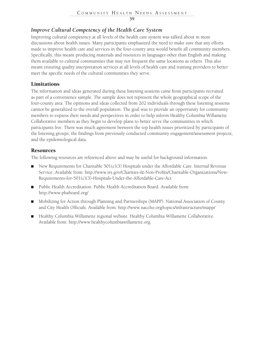### *Improve Cultural Competency of the Health Care System*

Improving cultural competency at all levels of the health care system was talked about in most discussions about health issues. Many participants emphasized the need to make sure that any efforts made to improve health care and services in the four-county area would benefit all community members. Specifically, this meant producing materials and resources in languages other than English and making them available to cultural communities that may not frequent the same locations as others. This also meant ensuring quality interpretation services at all levels of health care and training providers to better meet the specific needs of the cultural communities they serve.

### Limitations

The information and ideas generated during these listening sessions came from participants recruited as part of a convenience sample. The sample does not represent the whole geographical scope of the four-county area. The opinions and ideas collected from 202 individuals through these listening sessions cannot be generalized to the overall population. The goal was to provide an opportunity for community members to express their needs and perspectives in order to help inform Healthy Columbia Willamette Collaborative members as they begin to develop plans to better serve the communities in which participants live. There was much agreement between the top health issues prioritized by participants of the listening groups, the findings from previously conducted community engagement/assessment projects, and the epidemiological data.

### Resources

The following resources are referenced above and may be useful for background information:

- $\blacksquare$  New Requirements for Charitable 501(c)(3) Hospitals under the Affordable Care. Internal Revenue Service. Available from: http://www.irs.gov/Charities-&-Non-Profits/Charitable-Organizations/New-Requirements-for-501(c)(3)-Hospitals-Under-the-Affordable-Care-Act
- Public Health Accreditation. Public Health Accreditation Board. Available from: http://www.phaboard.org/
- Mobilizing for Action through Planning and Partnerships (MAPP). National Association of County and City Health Officials. Available from: http://www.naccho.org/topics/infrastructure/mapp/
- Healthy Columbia Willamette regional website. Healthy Columbia Willamette Collaborative. Available from: http://www.healthycolumbiawillamette.org.